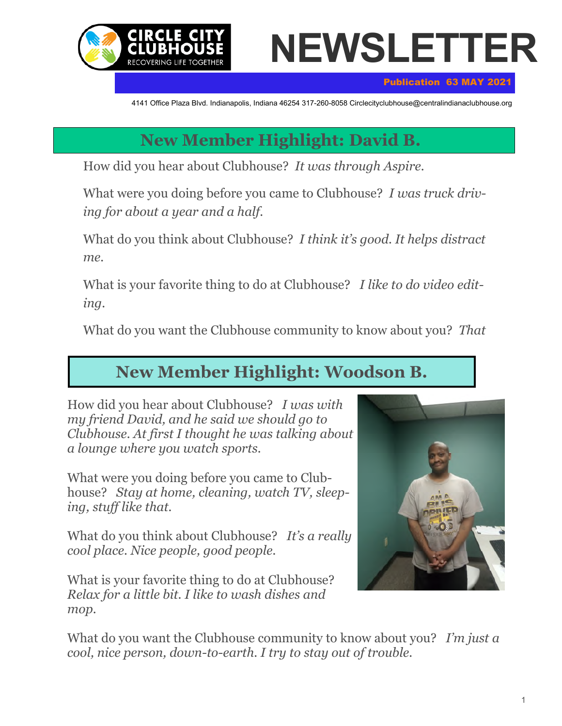

**NEWSLETTER**

Publication 63 MAY 202

4141 Office Plaza Blvd. Indianapolis, Indiana 46254 317-260-8058 Circlecityclubhouse@centralindianaclubhouse.org

#### **New Member Highlight: David B.**

How did you hear about Clubhouse? *It was through Aspire.* 

What were you doing before you came to Clubhouse? *I was truck driving for about a year and a half.* 

What do you think about Clubhouse? *I think it's good. It helps distract me.* 

What is your favorite thing to do at Clubhouse? *I like to do video editing.* 

What do you want the Clubhouse community to know about you? *That* 

### **New Member Highlight: Woodson B.**

How did you hear about Clubhouse? *I was with my friend David, and he said we should go to Clubhouse. At first I thought he was talking about a lounge where you watch sports.* 

What were you doing before you came to Clubhouse? *Stay at home, cleaning, watch TV, sleeping, stuff like that.* 

What do you think about Clubhouse? *It's a really cool place. Nice people, good people.* 

What is your favorite thing to do at Clubhouse? *Relax for a little bit. I like to wash dishes and mop.* 



What do you want the Clubhouse community to know about you? *I'm just a cool, nice person, down-to-earth. I try to stay out of trouble.*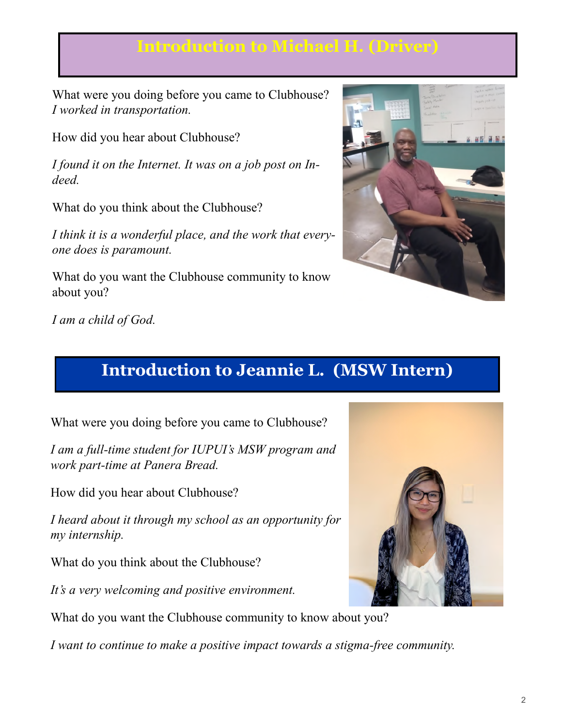# **Introduction to Michael H. (Driver)**

What were you doing before you came to Clubhouse? *I worked in transportation.*

How did you hear about Clubhouse?

*I found it on the Internet. It was on a job post on Indeed.* 

What do you think about the Clubhouse?

*I think it is a wonderful place, and the work that everyone does is paramount.* 

What do you want the Clubhouse community to know about you?

*I am a child of God.* 



# **Introduction to Jeannie L. (MSW Intern)**

What were you doing before you came to Clubhouse?

*I am a full-time student for IUPUI's MSW program and work part-time at Panera Bread.*

How did you hear about Clubhouse?

*I heard about it through my school as an opportunity for my internship.* 

What do you think about the Clubhouse?

*It's a very welcoming and positive environment.* 

What do you want the Clubhouse community to know about you?

*I want to continue to make a positive impact towards a stigma-free community.* 

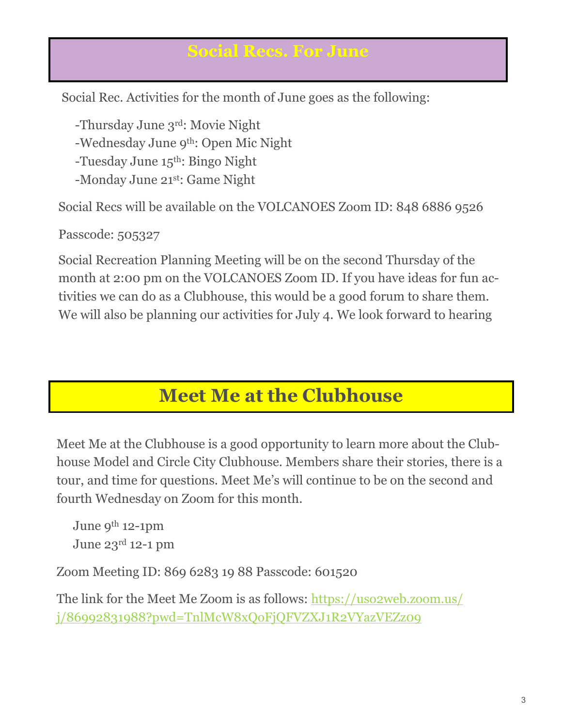#### **Social Recs. For June**

Social Rec. Activities for the month of June goes as the following:

-Thursday June 3rd: Movie Night -Wednesday June 9th: Open Mic Night -Tuesday June 15th: Bingo Night -Monday June 21st: Game Night

Social Recs will be available on the VOLCANOES Zoom ID: 848 6886 9526

Passcode: 505327

Social Recreation Planning Meeting will be on the second Thursday of the month at 2:00 pm on the VOLCANOES Zoom ID. If you have ideas for fun activities we can do as a Clubhouse, this would be a good forum to share them. We will also be planning our activities for July 4. We look forward to hearing

# **Meet Me at the Clubhouse**

Meet Me at the Clubhouse is a good opportunity to learn more about the Clubhouse Model and Circle City Clubhouse. Members share their stories, there is a tour, and time for questions. Meet Me's will continue to be on the second and fourth Wednesday on Zoom for this month.

June 9th 12-1pm June 23rd 12-1 pm

Zoom Meeting ID: 869 6283 19 88 Passcode: 601520

The link for the Meet Me Zoom is as follows: https://uso2web.zoom.us/ j/86992831988?pwd=TnlMcW8xQoFjQFVZXJ1R2VYazVEZz09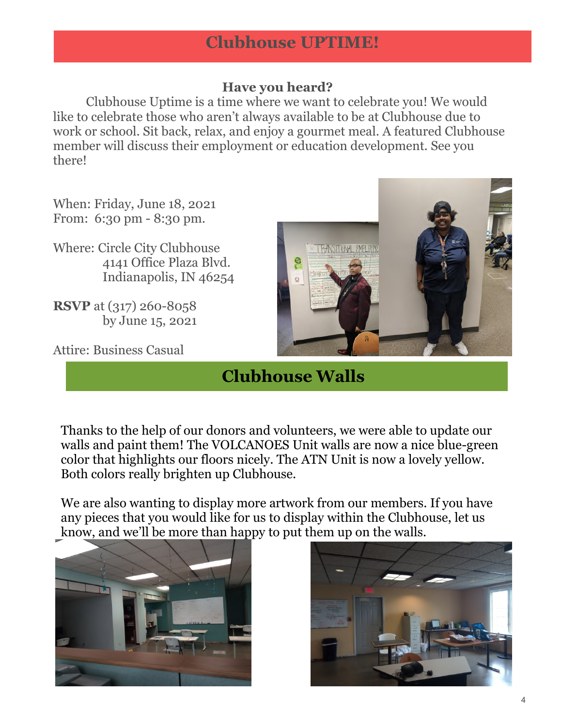#### **Clubhouse UPTIME!**

#### **Have you heard?**

Clubhouse Uptime is a time where we want to celebrate you! We would like to celebrate those who aren't always available to be at Clubhouse due to work or school. Sit back, relax, and enjoy a gourmet meal. A featured Clubhouse member will discuss their employment or education development. See you there!

When: Friday, June 18, 2021 From: 6:30 pm - 8:30 pm.

Where: Circle City Clubhouse 4141 Office Plaza Blvd. Indianapolis, IN 46254

**RSVP** at (317) 260-8058 by June 15, 2021

Attire: Business Casual



# **Clubhouse Walls**

Thanks to the help of our donors and volunteers, we were able to update our walls and paint them! The VOLCANOES Unit walls are now a nice blue-green color that highlights our floors nicely. The ATN Unit is now a lovely yellow. Both colors really brighten up Clubhouse.

We are also wanting to display more artwork from our members. If you have any pieces that you would like for us to display within the Clubhouse, let us know, and we'll be more than happy to put them up on the walls.



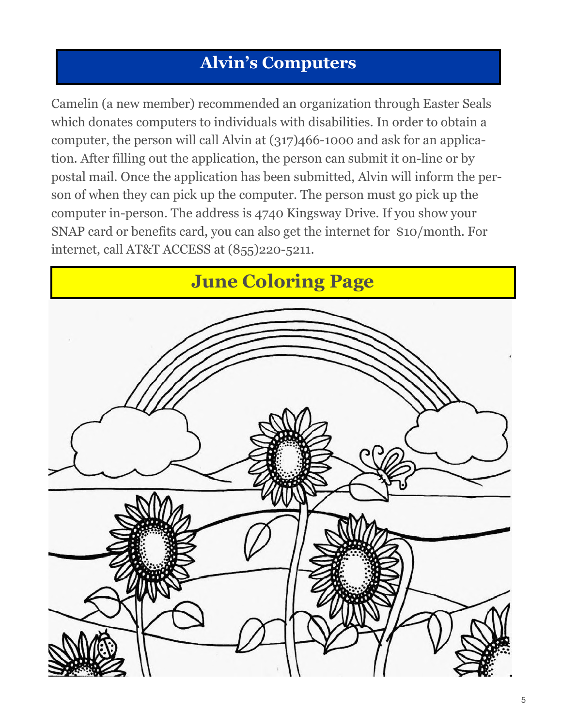# **Alvin's Computers**

Camelin (a new member) recommended an organization through Easter Seals which donates computers to individuals with disabilities. In order to obtain a computer, the person will call Alvin at (317)466-1000 and ask for an application. After filling out the application, the person can submit it on-line or by postal mail. Once the application has been submitted, Alvin will inform the person of when they can pick up the computer. The person must go pick up the computer in-person. The address is 4740 Kingsway Drive. If you show your SNAP card or benefits card, you can also get the internet for \$10/month. For internet, call AT&T ACCESS at (855)220-5211.